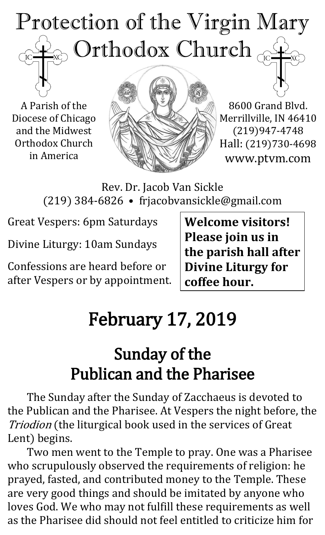### Protection of the Virgin Mary Orthodox Church  $\overline{\rm IC}$

A Parish of the Diocese of Chicago and the Midwest Orthodox Church in America



8600 Grand Blvd. Merrillville, IN 46410 (219)947-4748 Hall: (219)730-4698 www.ptvm.com

Rev. Dr. Jacob Van Sickle (219) 384-6826 • frjacobvansickle@gmail.com

Great Vespers: 6pm Saturdays

Divine Liturgy: 10am Sundays

Confessions are heard before or after Vespers or by appointment. **Welcome visitors! Please join us in the parish hall after Divine Liturgy for coffee hour.**

## February 17, 2019

## Sunday of the Publican and the Pharisee

The Sunday after the Sunday of Zacchaeus is devoted to the Publican and the Pharisee. At Vespers the night before, the Triodion (the liturgical book used in the services of Great Lent) begins.

Two men went to the Temple to pray. One was a Pharisee who scrupulously observed the requirements of religion: he prayed, fasted, and contributed money to the Temple. These are very good things and should be imitated by anyone who loves God. We who may not fulfill these requirements as well as the Pharisee did should not feel entitled to criticize him for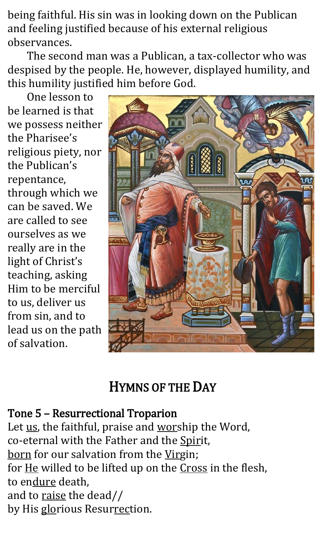being faithful. His sin was in looking down on the Publican and feeling justified because of his external religious observances.

The second man was a Publican, a tax-collector who was despised by the people. He, however, displayed humility, and this humility justified him before God.

One lesson to be learned is that we possess neither the Pharisee's religious piety, nor the Publican's repentance, through which we can be saved. We are called to see ourselves as we really are in the light of Christ's teaching, asking Him to be merciful to us, deliver us from sin, and to lead us on the path of salvation.



#### HYMNS OF THE DAY

#### Tone 5 – Resurrectional Troparion

Let us, the faithful, praise and worship the Word, co-eternal with the Father and the Spirit, born for our salvation from the Virgin; for He willed to be lifted up on the Cross in the flesh, to endure death, and to raise the dead// by His glorious Resurrection.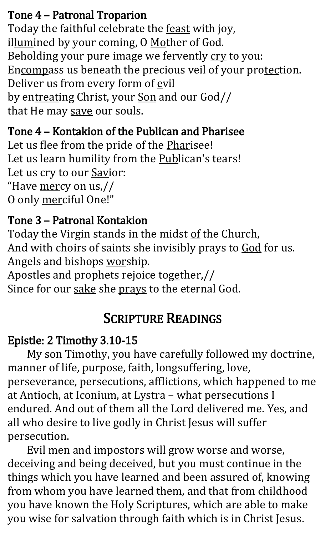#### Tone 4 – Patronal Troparion

Today the faithful celebrate the feast with joy, illumined by your coming, O Mother of God. Beholding your pure image we fervently cry to you: Encompass us beneath the precious veil of your protection. Deliver us from every form of evil by entreating Christ, your Son and our God// that He may save our souls.

#### Tone 4 – Kontakion of the Publican and Pharisee

Let us flee from the pride of the Pharisee! Let us learn humility from the Publican's tears! Let us cry to our **Savior**: "Have mercy on us,// O only merciful One!"

#### Tone 3 – Patronal Kontakion

Today the Virgin stands in the midst of the Church, And with choirs of saints she invisibly prays to God for us. Angels and bishops worship.

Apostles and prophets rejoice together,// Since for our sake she prays to the eternal God.

#### SCRIPTURE READINGS

#### Epistle: 2 Timothy 3.10-15

My son Timothy, you have carefully followed my doctrine, manner of life, purpose, faith, longsuffering, love, perseverance, persecutions, afflictions, which happened to me at Antioch, at Iconium, at Lystra – what persecutions I endured. And out of them all the Lord delivered me. Yes, and all who desire to live godly in Christ Jesus will suffer persecution.

Evil men and impostors will grow worse and worse, deceiving and being deceived, but you must continue in the things which you have learned and been assured of, knowing from whom you have learned them, and that from childhood you have known the Holy Scriptures, which are able to make you wise for salvation through faith which is in Christ Jesus.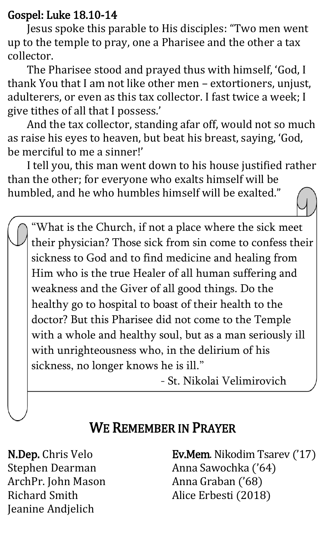#### Gospel: Luke 18.10-14

Jesus spoke this parable to His disciples: "Two men went up to the temple to pray, one a Pharisee and the other a tax collector.

The Pharisee stood and prayed thus with himself, 'God, I thank You that I am not like other men – extortioners, unjust, adulterers, or even as this tax collector. I fast twice a week; I give tithes of all that I possess.'

And the tax collector, standing afar off, would not so much as raise his eyes to heaven, but beat his breast, saying, 'God, be merciful to me a sinner!'

I tell you, this man went down to his house justified rather than the other; for everyone who exalts himself will be humbled, and he who humbles himself will be exalted."

 $\overline{a}$ 

"What is the Church, if not a place where the sick meet their physician? Those sick from sin come to confess their sickness to God and to find medicine and healing from Him who is the true Healer of all human suffering and weakness and the Giver of all good things. Do the healthy go to hospital to boast of their health to the doctor? But this Pharisee did not come to the Temple with a whole and healthy soul, but as a man seriously ill with unrighteousness who, in the delirium of his sickness, no longer knows he is ill."

- St. Nikolai Velimirovich

#### WE REMEMBER IN PRAYER

N.Dep. Chris Velo Stephen Dearman ArchPr. John Mason Richard Smith Jeanine Andjelich

Ev.Mem. Nikodim Tsarev ('17) Anna Sawochka ('64) Anna Graban ('68) Alice Erbesti (2018)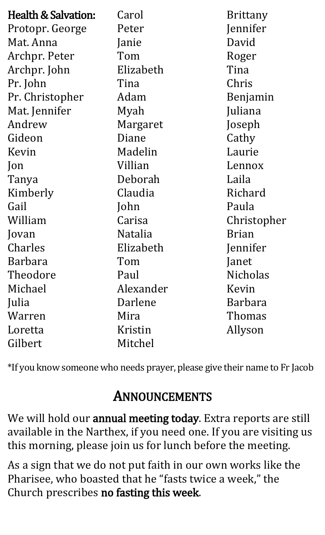| <b>Health &amp; Salvation:</b> | Carol          | <b>Brittany</b> |
|--------------------------------|----------------|-----------------|
| Protopr. George                | Peter          | Jennifer        |
| Mat. Anna                      | Janie          | David           |
| Archpr. Peter                  | Tom            | Roger           |
| Archpr. John                   | Elizabeth      | Tina            |
| Pr. John                       | Tina           | Chris           |
| Pr. Christopher                | Adam           | Benjamin        |
| Mat. Jennifer                  | Myah           | Juliana         |
| Andrew                         | Margaret       | Joseph          |
| Gideon                         | Diane          | Cathy           |
| Kevin                          | Madelin        | Laurie          |
| $\mathsf{lon}$                 | Villian        | Lennox          |
| Tanya                          | Deborah        | Laila           |
| Kimberly                       | Claudia        | Richard         |
| Gail                           | John           | Paula           |
| William                        | Carisa         | Christopher     |
| Jovan                          | <b>Natalia</b> | Brian           |
| Charles                        | Elizabeth      | Jennifer        |
| <b>Barbara</b>                 | Tom            | Janet           |
| Theodore                       | Paul           | <b>Nicholas</b> |
| Michael                        | Alexander      | Kevin           |
| Julia                          | Darlene        | Barbara         |
| Warren                         | Mira           | Thomas          |
| Loretta                        | Kristin        | Allyson         |
| Gilbert                        | Mitchel        |                 |

\*If you know someone who needs prayer, please give their name to Fr Jacob

#### ANNOUNCEMENTS

We will hold our annual meeting today. Extra reports are still available in the Narthex, if you need one. If you are visiting us this morning, please join us for lunch before the meeting.

As a sign that we do not put faith in our own works like the Pharisee, who boasted that he "fasts twice a week, " the Church prescribes no fasting this week.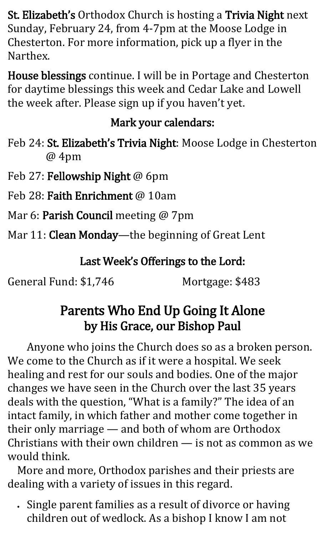St. Elizabeth's Orthodox Church is hosting a Trivia Night next Sunday, February 24, from 4-7pm at the Moose Lodge in Chesterton. For more information, pick up a flyer in the Narthex.

House blessings continue. I will be in Portage and Chesterton for daytime blessings this week and Cedar Lake and Lowell the week after. Please sign up if you haven't yet.

#### Mark your calendars:

Feb 24: St. Elizabeth's Trivia Night: Moose Lodge in Chesterton @ 4pm

Feb 27: Fellowship Night @ 6pm

Feb 28: Faith Enrichment @ 10am

Mar 6: Parish Council meeting @ 7pm

Mar 11: Clean Monday—the beginning of Great Lent

#### Last Week's Offerings to the Lord:

General Fund: \$1,746 Mortgage: \$483

#### Parents Who End Up Going It Alone by His Grace, our Bishop Paul

Anyone who joins the Church does so as a broken person. We come to the Church as if it were a hospital. We seek healing and rest for our souls and bodies. One of the major changes we have seen in the Church over the last 35 years deals with the question, "What is a family?" The idea of an intact family, in which father and mother come together in their only marriage — and both of whom are Orthodox Christians with their own children — is not as common as we would think.

More and more, Orthodox parishes and their priests are dealing with a variety of issues in this regard.

• Single parent families as a result of divorce or having children out of wedlock. As a bishop I know I am not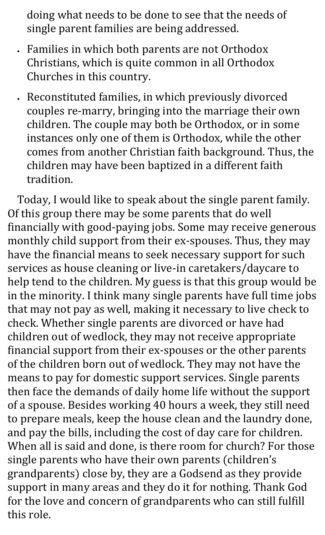doing what needs to be done to see that the needs of single parent families are being addressed.

- Families in which both parents are not Orthodox Christians, which is quite common in all Orthodox Churches in this country.
- Reconstituted families, in which previously divorced couples re-marry, bringing into the marriage their own children. The couple may both be Orthodox, or in some instances only one of them is Orthodox, while the other comes from another Christian faith background. Thus, the children may have been baptized in a different faith tradition.

Today, I would like to speak about the single parent family. Of this group there may be some parents that do well financially with good-paying jobs. Some may receive generous monthly child support from their ex-spouses. Thus, they may have the financial means to seek necessary support for such services as house cleaning or live-in caretakers/daycare to help tend to the children. My guess is that this group would be in the minority. I think many single parents have full time jobs that may not pay as well, making it necessary to live check to check. Whether single parents are divorced or have had children out of wedlock, they may not receive appropriate financial support from their ex-spouses or the other parents of the children born out of wedlock. They may not have the means to pay for domestic support services. Single parents then face the demands of daily home life without the support of a spouse. Besides working 40 hours a week, they still need to prepare meals, keep the house clean and the laundry done, and pay the bills, including the cost of day care for children. When all is said and done, is there room for church? For those single parents who have their own parents (children's grandparents) close by, they are a Godsend as they provide support in many areas and they do it for nothing. Thank God for the love and concern of grandparents who can still fulfill this role.